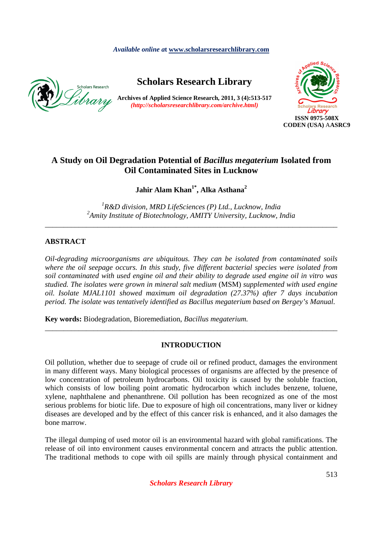*Available online a***t www.scholarsresearchlibrary.com**



# **Scholars Research Library**

**Archives of Applied Science Research, 2011, 3 (4):513-517** *(http://scholarsresearchlibrary.com/archive.html)* 



# **A Study on Oil Degradation Potential of** *Bacillus megaterium* **Isolated from Oil Contaminated Sites in Lucknow**

**Jahir Alam Khan1\*, Alka Asthana<sup>2</sup>**

*1 R&D division, MRD LifeSciences (P) Ltd., Lucknow, India 2 Amity Institute of Biotechnology, AMITY University, Lucknow, India* 

*\_\_\_\_\_\_\_\_\_\_\_\_\_\_\_\_\_\_\_\_\_\_\_\_\_\_\_\_\_\_\_\_\_\_\_\_\_\_\_\_\_\_\_\_\_\_\_\_\_\_\_\_\_\_\_\_\_\_\_\_\_\_\_\_\_\_\_\_\_\_\_\_\_\_\_\_\_\_* 

# **ABSTRACT**

*Oil-degrading microorganisms are ubiquitous. They can be isolated from contaminated soils where the oil seepage occurs. In this study, five different bacterial species were isolated from soil contaminated with used engine oil and their ability to degrade used engine oil in vitro was studied. The isolates were grown in mineral salt medium* (MSM) *supplemented with used engine oil. Isolate MJAL1101 showed maximum oil degradation (27.37%) after 7 days incubation period. The isolate was tentatively identified as Bacillus megaterium based on Bergey's Manual.* 

**Key words:** Biodegradation, Bioremediation, *Bacillus megaterium.* 

# **INTRODUCTION**

*\_\_\_\_\_\_\_\_\_\_\_\_\_\_\_\_\_\_\_\_\_\_\_\_\_\_\_\_\_\_\_\_\_\_\_\_\_\_\_\_\_\_\_\_\_\_\_\_\_\_\_\_\_\_\_\_\_\_\_\_\_\_\_\_\_\_\_\_\_\_\_\_\_\_\_\_\_\_*

Oil pollution, whether due to seepage of crude oil or refined product, damages the environment in many different ways. Many biological processes of organisms are affected by the presence of low concentration of petroleum hydrocarbons. Oil toxicity is caused by the soluble fraction, which consists of low boiling point aromatic hydrocarbon which includes benzene, toluene, xylene, naphthalene and phenanthrene. Oil pollution has been recognized as one of the most serious problems for biotic life. Due to exposure of high oil concentrations, many liver or kidney diseases are developed and by the effect of this cancer risk is enhanced, and it also damages the bone marrow.

The illegal dumping of used motor oil is an environmental hazard with global ramifications. The release of oil into environment causes environmental concern and attracts the public attention. The traditional methods to cope with oil spills are mainly through physical containment and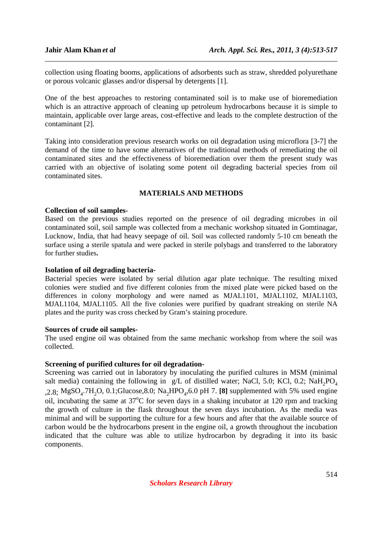collection using floating booms, applications of adsorbents such as straw, shredded polyurethane or porous volcanic glasses and/or dispersal by detergents [1].

\_\_\_\_\_\_\_\_\_\_\_\_\_\_\_\_\_\_\_\_\_\_\_\_\_\_\_\_\_\_\_\_\_\_\_\_\_\_\_\_\_\_\_\_\_\_\_\_\_\_\_\_\_\_\_\_\_\_\_\_\_\_\_\_\_\_\_\_\_\_\_\_\_\_\_\_\_\_

One of the best approaches to restoring contaminated soil is to make use of bioremediation which is an attractive approach of cleaning up petroleum hydrocarbons because it is simple to maintain, applicable over large areas, cost-effective and leads to the complete destruction of the contaminant [2].

Taking into consideration previous research works on oil degradation using microflora [3-7] the demand of the time to have some alternatives of the traditional methods of remediating the oil contaminated sites and the effectiveness of bioremediation over them the present study was carried with an objective of isolating some potent oil degrading bacterial species from oil contaminated sites.

# **MATERIALS AND METHODS**

#### **Collection of soil samples**-

Based on the previous studies reported on the presence of oil degrading microbes in oil contaminated soil, soil sample was collected from a mechanic workshop situated in Gomtinagar, Lucknow, India, that had heavy seepage of oil. Soil was collected randomly 5-10 cm beneath the surface using a sterile spatula and were packed in sterile polybags and transferred to the laboratory for further studies**.** 

#### **Isolation of oil degrading bacteria-**

Bacterial species were isolated by serial dilution agar plate technique. The resulting mixed colonies were studied and five different colonies from the mixed plate were picked based on the differences in colony morphology and were named as MJAL1101, MJAL1102, MJAL1103, MJAL1104, MJAL1105. All the five colonies were purified by quadrant streaking on sterile NA plates and the purity was cross checked by Gram's staining procedure.

#### **Sources of crude oil samples-**

The used engine oil was obtained from the same mechanic workshop from where the soil was collected.

## **Screening of purified cultures for oil degradation-**

Screening was carried out in laboratory by inoculating the purified cultures in MSM (minimal salt media) containing the following in  $g/L$  of distilled water; NaCl, 5.0; KCl, 0.2; NaH<sub>2</sub>PO<sub>4</sub>  $2.8$ ; MgSO<sub>4</sub>.7H<sub>2</sub>O, 0.1;Glucose, 8.0; Na<sub>2</sub>HPO<sub>4</sub>, 6.0 pH 7. [8] supplemented with 5% used engine oil, incubating the same at  $37^{\circ}$ C for seven days in a shaking incubator at 120 rpm and tracking the growth of culture in the flask throughout the seven days incubation. As the media was minimal and will be supporting the culture for a few hours and after that the available source of carbon would be the hydrocarbons present in the engine oil, a growth throughout the incubation indicated that the culture was able to utilize hydrocarbon by degrading it into its basic components.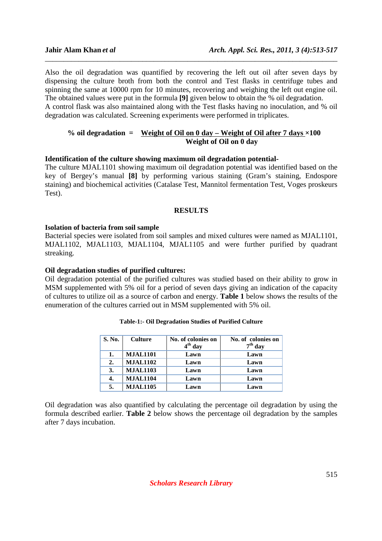Also the oil degradation was quantified by recovering the left out oil after seven days by dispensing the culture broth from both the control and Test flasks in centrifuge tubes and spinning the same at 10000 rpm for 10 minutes, recovering and weighing the left out engine oil. The obtained values were put in the formula **[9]** given below to obtain the % oil degradation. A control flask was also maintained along with the Test flasks having no inoculation, and % oil

\_\_\_\_\_\_\_\_\_\_\_\_\_\_\_\_\_\_\_\_\_\_\_\_\_\_\_\_\_\_\_\_\_\_\_\_\_\_\_\_\_\_\_\_\_\_\_\_\_\_\_\_\_\_\_\_\_\_\_\_\_\_\_\_\_\_\_\_\_\_\_\_\_\_\_\_\_\_

degradation was calculated. Screening experiments were performed in triplicates.

## % oil degradation  $=$  Weight of Oil on  $\theta$  day  $-$  Weight of Oil after  $7$  days  $\times 100$  **Weight of Oil on 0 day**

# **Identification of the culture showing maximum oil degradation potential-**

The culture MJAL1101 showing maximum oil degradation potential was identified based on the key of Bergey's manual **[8]** by performing various staining (Gram's staining, Endospore staining) and biochemical activities (Catalase Test, Mannitol fermentation Test, Voges proskeurs Test).

#### **RESULTS**

#### **Isolation of bacteria from soil sample**

Bacterial species were isolated from soil samples and mixed cultures were named as MJAL1101, MJAL1102, MJAL1103, MJAL1104, MJAL1105 and were further purified by quadrant streaking.

#### **Oil degradation studies of purified cultures:**

Oil degradation potential of the purified cultures was studied based on their ability to grow in MSM supplemented with 5% oil for a period of seven days giving an indication of the capacity of cultures to utilize oil as a source of carbon and energy. **Table 1** below shows the results of the enumeration of the cultures carried out in MSM supplemented with 5% oil.

| S. No. | <b>Culture</b>  | No. of colonies on<br>$4th$ day | No. of colonies on<br>$7th$ day |
|--------|-----------------|---------------------------------|---------------------------------|
| 1.     | <b>MJAL1101</b> | Lawn                            | Lawn                            |
| 2.     | <b>MJAL1102</b> | Lawn                            | Lawn                            |
| 3.     | <b>MJAL1103</b> | Lawn                            | Lawn                            |
| 4.     | <b>MJAL1104</b> | Lawn                            | Lawn                            |
| 5.     | <b>MJAL1105</b> | Lawn                            | Lawn                            |

|  |  | Table-1:- Oil Degradation Studies of Purified Culture |  |  |  |  |
|--|--|-------------------------------------------------------|--|--|--|--|
|--|--|-------------------------------------------------------|--|--|--|--|

Oil degradation was also quantified by calculating the percentage oil degradation by using the formula described earlier. **Table 2** below shows the percentage oil degradation by the samples after 7 days incubation.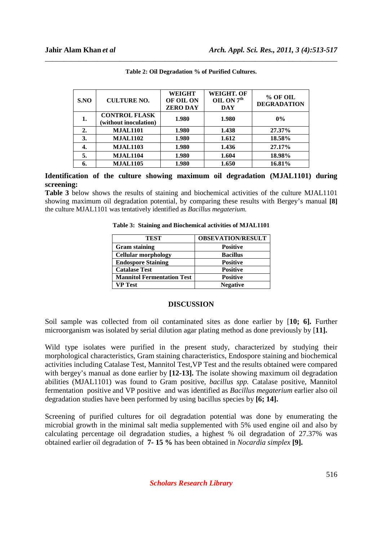| SNO              | <b>CULTURE NO.</b>                            | <b>WEIGHT</b><br>OF OIL ON<br><b>ZERO DAY</b> | <b>WEIGHT. OF</b><br>OIL ON $7^{\text{th}}$<br><b>DAY</b> | % OF OIL<br><b>DEGRADATION</b> |
|------------------|-----------------------------------------------|-----------------------------------------------|-----------------------------------------------------------|--------------------------------|
| 1.               | <b>CONTROL FLASK</b><br>(without inoculation) | 1.980                                         | 1.980                                                     | $0\%$                          |
| $\overline{2}$ . | <b>MJAL1101</b>                               | 1.980                                         | 1.438                                                     | 27.37%                         |
| 3.               | <b>MJAL1102</b>                               | 1.980                                         | 1.612                                                     | 18.58%                         |
| 4.               | <b>MJAL1103</b>                               | 1.980                                         | 1.436                                                     | 27.17%                         |
| 5.               | <b>MJAL1104</b>                               | 1.980                                         | 1.604                                                     | 18.98%                         |
|                  | <b>MJAL1105</b>                               | 1.980                                         | 1.650                                                     | 16.81%                         |

| Table 2: Oil Degradation % of Purified Cultures. |  |
|--------------------------------------------------|--|

**Identification of the culture showing maximum oil degradation (MJAL1101) during screening:** 

**Table 3** below shows the results of staining and biochemical activities of the culture MJAL1101 showing maximum oil degradation potential, by comparing these results with Bergey's manual **[8]**  the culture MJAL1101 was tentatively identified as *Bacillus megaterium.*

| Table 3: Staining and Biochemical activities of MJAL1101 |  |
|----------------------------------------------------------|--|
|----------------------------------------------------------|--|

| <b>TEST</b>                       | <b>OBSEVATION/RESULT</b> |
|-----------------------------------|--------------------------|
| <b>Gram</b> staining              | <b>Positive</b>          |
| <b>Cellular morphology</b>        | <b>Bacillus</b>          |
| <b>Endospore Staining</b>         | <b>Positive</b>          |
| <b>Catalase Test</b>              | <b>Positive</b>          |
| <b>Mannitol Fermentation Test</b> | <b>Positive</b>          |
| <b>VP Test</b>                    | <b>Negative</b>          |

#### **DISCUSSION**

Soil sample was collected from oil contaminated sites as done earlier by [**10; 6].** Further microorganism was isolated by serial dilution agar plating method as done previously by [**11].** 

Wild type isolates were purified in the present study, characterized by studying their morphological characteristics, Gram staining characteristics, Endospore staining and biochemical activities including Catalase Test, Mannitol Test,VP Test and the results obtained were compared with bergey's manual as done earlier by [12-13]. The isolate showing maximum oil degradation abilities (MJAL1101) was found to Gram positive, *bacillus spp.* Catalase positive, Mannitol fermentation positive and VP positive and was identified as *Bacillus megaterium* earlier also oil degradation studies have been performed by using bacillus species by **[6; 14].** 

Screening of purified cultures for oil degradation potential was done by enumerating the microbial growth in the minimal salt media supplemented with 5% used engine oil and also by calculating percentage oil degradation studies, a highest % oil degradation of 27.37% was obtained earlier oil degradation of **7- 15 %** has been obtained in *Nocardia simplex* **[9].** 

*Scholars Research Library*